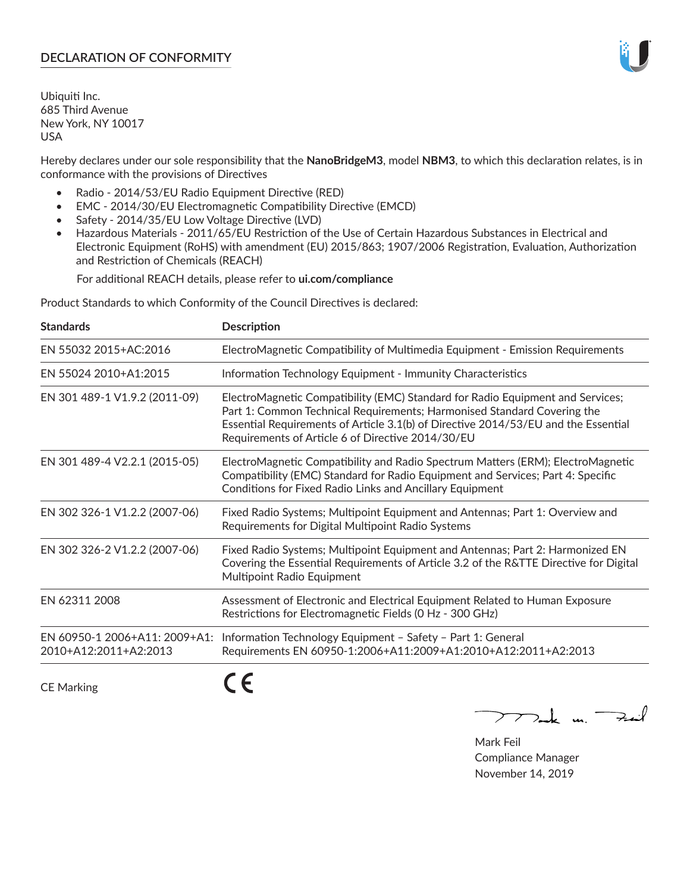## **DECLARATION OF CONFORMITY**

Ubiquiti Inc. 685 Third Avenue New York, NY 10017 USA

Hereby declares under our sole responsibility that the **NanoBridgeM3**, model **NBM3**, to which this declaration relates, is in conformance with the provisions of Directives

- Radio 2014/53/EU Radio Equipment Directive (RED)
- EMC 2014/30/EU Electromagnetic Compatibility Directive (EMCD)
- Safety 2014/35/EU Low Voltage Directive (LVD)
- Hazardous Materials 2011/65/EU Restriction of the Use of Certain Hazardous Substances in Electrical and Electronic Equipment (RoHS) with amendment (EU) 2015/863; 1907/2006 Registration, Evaluation, Authorization and Restriction of Chemicals (REACH)

For additional REACH details, please refer to **ui.com/compliance**

Product Standards to which Conformity of the Council Directives is declared:

| <b>Standards</b>                                       | <b>Description</b>                                                                                                                                                                                                                                                                                   |
|--------------------------------------------------------|------------------------------------------------------------------------------------------------------------------------------------------------------------------------------------------------------------------------------------------------------------------------------------------------------|
| EN 55032 2015+AC:2016                                  | ElectroMagnetic Compatibility of Multimedia Equipment - Emission Requirements                                                                                                                                                                                                                        |
| EN 55024 2010+A1:2015                                  | Information Technology Equipment - Immunity Characteristics                                                                                                                                                                                                                                          |
| EN 301 489-1 V1.9.2 (2011-09)                          | ElectroMagnetic Compatibility (EMC) Standard for Radio Equipment and Services;<br>Part 1: Common Technical Requirements; Harmonised Standard Covering the<br>Essential Requirements of Article 3.1(b) of Directive 2014/53/EU and the Essential<br>Requirements of Article 6 of Directive 2014/30/EU |
| EN 301 489-4 V2.2.1 (2015-05)                          | ElectroMagnetic Compatibility and Radio Spectrum Matters (ERM); ElectroMagnetic<br>Compatibility (EMC) Standard for Radio Equipment and Services; Part 4: Specific<br>Conditions for Fixed Radio Links and Ancillary Equipment                                                                       |
| EN 302 326-1 V1.2.2 (2007-06)                          | Fixed Radio Systems; Multipoint Equipment and Antennas; Part 1: Overview and<br>Requirements for Digital Multipoint Radio Systems                                                                                                                                                                    |
| EN 302 326-2 V1.2.2 (2007-06)                          | Fixed Radio Systems; Multipoint Equipment and Antennas; Part 2: Harmonized EN<br>Covering the Essential Requirements of Article 3.2 of the R&TTE Directive for Digital<br>Multipoint Radio Equipment                                                                                                 |
| EN 62311 2008                                          | Assessment of Electronic and Electrical Equipment Related to Human Exposure<br>Restrictions for Electromagnetic Fields (0 Hz - 300 GHz)                                                                                                                                                              |
| EN 60950-1 2006+A11: 2009+A1:<br>2010+A12:2011+A2:2013 | Information Technology Equipment - Safety - Part 1: General<br>Requirements EN 60950-1:2006+A11:2009+A1:2010+A12:2011+A2:2013                                                                                                                                                                        |
| <b>CE Marking</b>                                      |                                                                                                                                                                                                                                                                                                      |

Tak m. Fail

Mark Feil Compliance Manager November 14, 2019

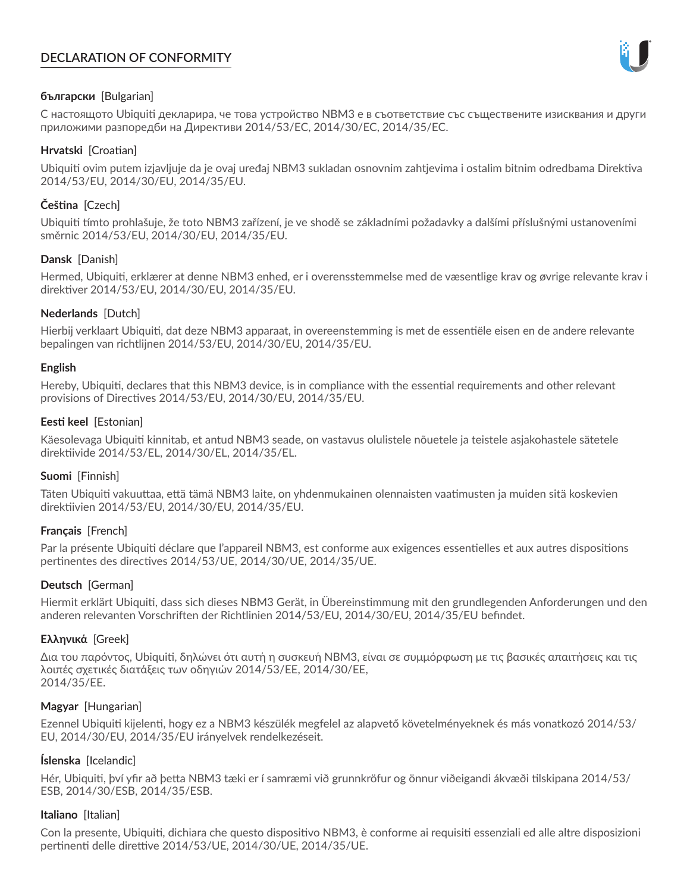# **DECLARATION OF CONFORMITY**



## **български** [Bulgarian]

С настоящото Ubiquiti декларира, че това устройство NBM3 е в съответствие със съществените изисквания и други приложими разпоредби на Директиви 2014/53/EC, 2014/30/ЕС, 2014/35/ЕС.

## **Hrvatski** [Croatian]

Ubiquiti ovim putem izjavljuje da je ovaj uređaj NBM3 sukladan osnovnim zahtjevima i ostalim bitnim odredbama Direktiva 2014/53/EU, 2014/30/EU, 2014/35/EU.

# **Čeština** [Czech]

Ubiquiti tímto prohlašuje, že toto NBM3 zařízení, je ve shodě se základními požadavky a dalšími příslušnými ustanoveními směrnic 2014/53/EU, 2014/30/EU, 2014/35/EU.

## **Dansk** [Danish]

Hermed, Ubiquiti, erklærer at denne NBM3 enhed, er i overensstemmelse med de væsentlige krav og øvrige relevante krav i direktiver 2014/53/EU, 2014/30/EU, 2014/35/EU.

## **Nederlands** [Dutch]

Hierbij verklaart Ubiquiti, dat deze NBM3 apparaat, in overeenstemming is met de essentiële eisen en de andere relevante bepalingen van richtlijnen 2014/53/EU, 2014/30/EU, 2014/35/EU.

## **English**

Hereby, Ubiquiti, declares that this NBM3 device, is in compliance with the essential requirements and other relevant provisions of Directives 2014/53/EU, 2014/30/EU, 2014/35/EU.

## **Eesti keel** [Estonian]

Käesolevaga Ubiquiti kinnitab, et antud NBM3 seade, on vastavus olulistele nõuetele ja teistele asjakohastele sätetele direktiivide 2014/53/EL, 2014/30/EL, 2014/35/EL.

## **Suomi** [Finnish]

Täten Ubiquiti vakuuttaa, että tämä NBM3 laite, on yhdenmukainen olennaisten vaatimusten ja muiden sitä koskevien direktiivien 2014/53/EU, 2014/30/EU, 2014/35/EU.

## **Français** [French]

Par la présente Ubiquiti déclare que l'appareil NBM3, est conforme aux exigences essentielles et aux autres dispositions pertinentes des directives 2014/53/UE, 2014/30/UE, 2014/35/UE.

# **Deutsch** [German]

Hiermit erklärt Ubiquiti, dass sich dieses NBM3 Gerät, in Übereinstimmung mit den grundlegenden Anforderungen und den anderen relevanten Vorschriften der Richtlinien 2014/53/EU, 2014/30/EU, 2014/35/EU befindet.

## **Ελληνικά** [Greek]

Δια του παρόντος, Ubiquiti, δηλώνει ότι αυτή η συσκευή NBM3, είναι σε συμμόρφωση με τις βασικές απαιτήσεις και τις λοιπές σχετικές διατάξεις των οδηγιών 2014/53/EE, 2014/30/EE, 2014/35/EE.

## **Magyar** [Hungarian]

Ezennel Ubiquiti kijelenti, hogy ez a NBM3 készülék megfelel az alapvető követelményeknek és más vonatkozó 2014/53/ EU, 2014/30/EU, 2014/35/EU irányelvek rendelkezéseit.

## **Íslenska** [Icelandic]

Hér, Ubiquiti, því yfir að þetta NBM3 tæki er í samræmi við grunnkröfur og önnur viðeigandi ákvæði tilskipana 2014/53/ ESB, 2014/30/ESB, 2014/35/ESB.

## **Italiano** [Italian]

Con la presente, Ubiquiti, dichiara che questo dispositivo NBM3, è conforme ai requisiti essenziali ed alle altre disposizioni pertinenti delle direttive 2014/53/UE, 2014/30/UE, 2014/35/UE.